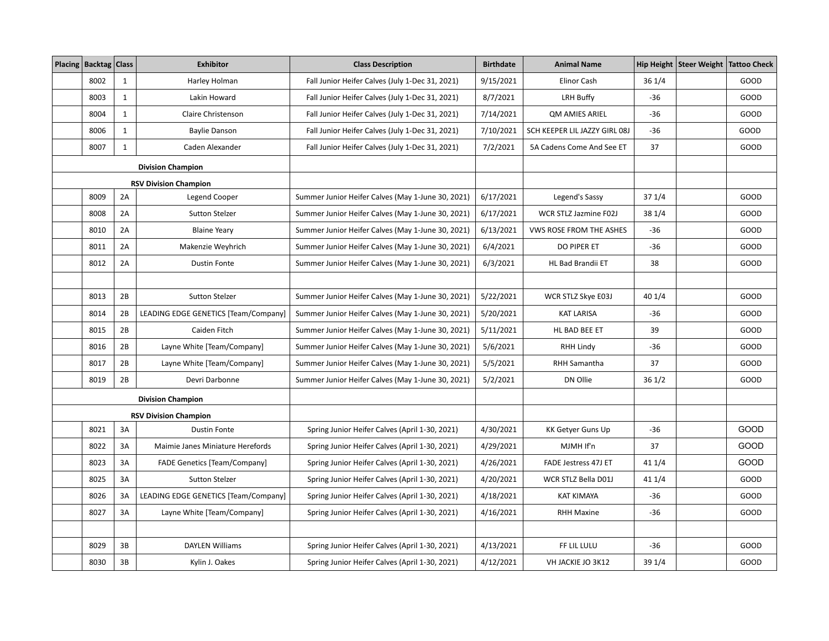| Placing   Backtag   Class |              | <b>Exhibitor</b>                     | <b>Class Description</b>                          | <b>Birthdate</b> | <b>Animal Name</b>            |        | Hip Height   Steer Weight   Tattoo Check |      |
|---------------------------|--------------|--------------------------------------|---------------------------------------------------|------------------|-------------------------------|--------|------------------------------------------|------|
| 8002                      | $\mathbf{1}$ | Harley Holman                        | Fall Junior Heifer Calves (July 1-Dec 31, 2021)   | 9/15/2021        | Elinor Cash                   | 36 1/4 |                                          | GOOD |
| 8003                      | $\mathbf{1}$ | Lakin Howard                         | Fall Junior Heifer Calves (July 1-Dec 31, 2021)   | 8/7/2021         | LRH Buffy                     | -36    |                                          | GOOD |
| 8004                      | $\mathbf{1}$ | Claire Christenson                   | Fall Junior Heifer Calves (July 1-Dec 31, 2021)   | 7/14/2021        | <b>QM AMIES ARIEL</b>         | $-36$  |                                          | GOOD |
| 8006                      | $\mathbf{1}$ | <b>Baylie Danson</b>                 | Fall Junior Heifer Calves (July 1-Dec 31, 2021)   | 7/10/2021        | SCH KEEPER LIL JAZZY GIRL 08J | $-36$  |                                          | GOOD |
| 8007                      | $\mathbf{1}$ | Caden Alexander                      | Fall Junior Heifer Calves (July 1-Dec 31, 2021)   | 7/2/2021         | 5A Cadens Come And See ET     | 37     |                                          | GOOD |
|                           |              | <b>Division Champion</b>             |                                                   |                  |                               |        |                                          |      |
|                           |              | <b>RSV Division Champion</b>         |                                                   |                  |                               |        |                                          |      |
| 8009                      | 2A           | Legend Cooper                        | Summer Junior Heifer Calves (May 1-June 30, 2021) | 6/17/2021        | Legend's Sassy                | 37 1/4 |                                          | GOOD |
| 8008                      | 2A           | <b>Sutton Stelzer</b>                | Summer Junior Heifer Calves (May 1-June 30, 2021) | 6/17/2021        | WCR STLZ Jazmine F02J         | 38 1/4 |                                          | GOOD |
| 8010                      | 2A           | <b>Blaine Yeary</b>                  | Summer Junior Heifer Calves (May 1-June 30, 2021) | 6/13/2021        | VWS ROSE FROM THE ASHES       | $-36$  |                                          | GOOD |
| 8011                      | 2A           | Makenzie Weyhrich                    | Summer Junior Heifer Calves (May 1-June 30, 2021) | 6/4/2021         | DO PIPER ET                   | $-36$  |                                          | GOOD |
| 8012                      | 2A           | <b>Dustin Fonte</b>                  | Summer Junior Heifer Calves (May 1-June 30, 2021) | 6/3/2021         | HL Bad Brandii ET             | 38     |                                          | GOOD |
|                           |              |                                      |                                                   |                  |                               |        |                                          |      |
| 8013                      | 2B           | <b>Sutton Stelzer</b>                | Summer Junior Heifer Calves (May 1-June 30, 2021) | 5/22/2021        | WCR STLZ Skye E03J            | 40 1/4 |                                          | GOOD |
| 8014                      | 2B           | LEADING EDGE GENETICS [Team/Company] | Summer Junior Heifer Calves (May 1-June 30, 2021) | 5/20/2021        | <b>KAT LARISA</b>             | $-36$  |                                          | GOOD |
| 8015                      | 2B           | Caiden Fitch                         | Summer Junior Heifer Calves (May 1-June 30, 2021) | 5/11/2021        | HL BAD BEE ET                 | 39     |                                          | GOOD |
| 8016                      | 2B           | Layne White [Team/Company]           | Summer Junior Heifer Calves (May 1-June 30, 2021) | 5/6/2021         | RHH Lindy                     | $-36$  |                                          | GOOD |
| 8017                      | 2B           | Layne White [Team/Company]           | Summer Junior Heifer Calves (May 1-June 30, 2021) | 5/5/2021         | <b>RHH Samantha</b>           | 37     |                                          | GOOD |
| 8019                      | 2B           | Devri Darbonne                       | Summer Junior Heifer Calves (May 1-June 30, 2021) | 5/2/2021         | DN Ollie                      | 361/2  |                                          | GOOD |
|                           |              | <b>Division Champion</b>             |                                                   |                  |                               |        |                                          |      |
|                           |              | <b>RSV Division Champion</b>         |                                                   |                  |                               |        |                                          |      |
| 8021                      | 3A           | <b>Dustin Fonte</b>                  | Spring Junior Heifer Calves (April 1-30, 2021)    | 4/30/2021        | <b>KK Getver Guns Up</b>      | $-36$  |                                          | GOOD |
| 8022                      | 3A           | Maimie Janes Miniature Herefords     | Spring Junior Heifer Calves (April 1-30, 2021)    | 4/29/2021        | MJMH If'n                     | 37     |                                          | GOOD |
| 8023                      | 3A           | <b>FADE Genetics [Team/Company]</b>  | Spring Junior Heifer Calves (April 1-30, 2021)    | 4/26/2021        | <b>FADE Jestress 47J ET</b>   | 41 1/4 |                                          | GOOD |
| 8025                      | 3A           | <b>Sutton Stelzer</b>                | Spring Junior Heifer Calves (April 1-30, 2021)    | 4/20/2021        | WCR STLZ Bella D01J           | 41 1/4 |                                          | GOOD |
| 8026                      | 3A           | LEADING EDGE GENETICS [Team/Company] | Spring Junior Heifer Calves (April 1-30, 2021)    | 4/18/2021        | <b>KAT KIMAYA</b>             | $-36$  |                                          | GOOD |
| 8027                      | 3A           | Layne White [Team/Company]           | Spring Junior Heifer Calves (April 1-30, 2021)    | 4/16/2021        | <b>RHH Maxine</b>             | $-36$  |                                          | GOOD |
|                           |              |                                      |                                                   |                  |                               |        |                                          |      |
| 8029                      | 3B           | <b>DAYLEN Williams</b>               | Spring Junior Heifer Calves (April 1-30, 2021)    | 4/13/2021        | FF LIL LULU                   | $-36$  |                                          | GOOD |
| 8030                      | 3B           | Kylin J. Oakes                       | Spring Junior Heifer Calves (April 1-30, 2021)    | 4/12/2021        | VH JACKIE JO 3K12             | 39 1/4 |                                          | GOOD |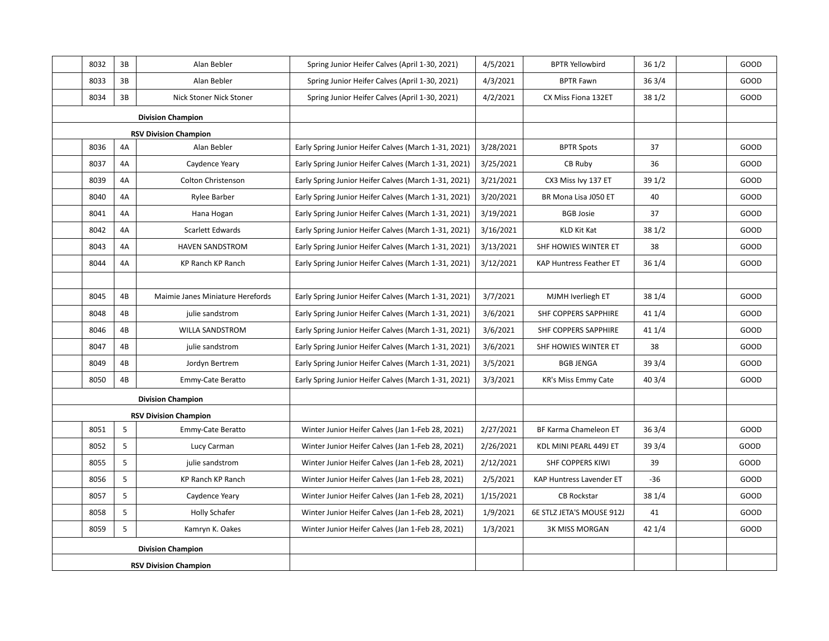|                              | 8032 | 3B | Alan Bebler                      | Spring Junior Heifer Calves (April 1-30, 2021)       | 4/5/2021  | <b>BPTR Yellowbird</b>         | 361/2  | GOOD |
|------------------------------|------|----|----------------------------------|------------------------------------------------------|-----------|--------------------------------|--------|------|
|                              | 8033 | 3B | Alan Bebler                      | Spring Junior Heifer Calves (April 1-30, 2021)       | 4/3/2021  | <b>BPTR Fawn</b>               | 363/4  | GOOD |
|                              | 8034 | 3B | Nick Stoner Nick Stoner          | Spring Junior Heifer Calves (April 1-30, 2021)       | 4/2/2021  | CX Miss Fiona 132ET            | 381/2  | GOOD |
|                              |      |    | <b>Division Champion</b>         |                                                      |           |                                |        |      |
|                              |      |    | <b>RSV Division Champion</b>     |                                                      |           |                                |        |      |
|                              | 8036 | 4A | Alan Bebler                      | Early Spring Junior Heifer Calves (March 1-31, 2021) | 3/28/2021 | <b>BPTR Spots</b>              | 37     | GOOD |
|                              | 8037 | 4A | Caydence Yeary                   | Early Spring Junior Heifer Calves (March 1-31, 2021) | 3/25/2021 | CB Ruby                        | 36     | GOOD |
|                              | 8039 | 4A | Colton Christenson               | Early Spring Junior Heifer Calves (March 1-31, 2021) | 3/21/2021 | CX3 Miss Ivy 137 ET            | 391/2  | GOOD |
|                              | 8040 | 4A | <b>Rylee Barber</b>              | Early Spring Junior Heifer Calves (March 1-31, 2021) | 3/20/2021 | BR Mona Lisa J050 ET           | 40     | GOOD |
|                              | 8041 | 4A | Hana Hogan                       | Early Spring Junior Heifer Calves (March 1-31, 2021) | 3/19/2021 | <b>BGB Josie</b>               | 37     | GOOD |
|                              | 8042 | 4A | Scarlett Edwards                 | Early Spring Junior Heifer Calves (March 1-31, 2021) | 3/16/2021 | KLD Kit Kat                    | 381/2  | GOOD |
|                              | 8043 | 4A | <b>HAVEN SANDSTROM</b>           | Early Spring Junior Heifer Calves (March 1-31, 2021) | 3/13/2021 | SHF HOWIES WINTER ET           | 38     | GOOD |
|                              | 8044 | 4A | KP Ranch KP Ranch                | Early Spring Junior Heifer Calves (March 1-31, 2021) | 3/12/2021 | <b>KAP Huntress Feather ET</b> | 361/4  | GOOD |
|                              |      |    |                                  |                                                      |           |                                |        |      |
|                              | 8045 | 4B | Maimie Janes Miniature Herefords | Early Spring Junior Heifer Calves (March 1-31, 2021) | 3/7/2021  | MJMH Iverliegh ET              | 38 1/4 | GOOD |
|                              | 8048 | 4B | julie sandstrom                  | Early Spring Junior Heifer Calves (March 1-31, 2021) | 3/6/2021  | SHF COPPERS SAPPHIRE           | 41 1/4 | GOOD |
|                              | 8046 | 4B | <b>WILLA SANDSTROM</b>           | Early Spring Junior Heifer Calves (March 1-31, 2021) | 3/6/2021  | SHF COPPERS SAPPHIRE           | 41 1/4 | GOOD |
|                              | 8047 | 4B | julie sandstrom                  | Early Spring Junior Heifer Calves (March 1-31, 2021) | 3/6/2021  | SHF HOWIES WINTER ET           | 38     | GOOD |
|                              | 8049 | 4B | Jordyn Bertrem                   | Early Spring Junior Heifer Calves (March 1-31, 2021) | 3/5/2021  | <b>BGB JENGA</b>               | 393/4  | GOOD |
|                              | 8050 | 4B | Emmy-Cate Beratto                | Early Spring Junior Heifer Calves (March 1-31, 2021) | 3/3/2021  | <b>KR's Miss Emmy Cate</b>     | 403/4  | GOOD |
|                              |      |    | <b>Division Champion</b>         |                                                      |           |                                |        |      |
|                              |      |    | <b>RSV Division Champion</b>     |                                                      |           |                                |        |      |
|                              | 8051 | 5  | Emmy-Cate Beratto                | Winter Junior Heifer Calves (Jan 1-Feb 28, 2021)     | 2/27/2021 | BF Karma Chameleon ET          | 363/4  | GOOD |
|                              | 8052 | 5  | Lucy Carman                      | Winter Junior Heifer Calves (Jan 1-Feb 28, 2021)     | 2/26/2021 | KDL MINI PEARL 449J ET         | 39 3/4 | GOOD |
|                              | 8055 | 5  | julie sandstrom                  | Winter Junior Heifer Calves (Jan 1-Feb 28, 2021)     | 2/12/2021 | SHF COPPERS KIWI               | 39     | GOOD |
|                              | 8056 | 5  | KP Ranch KP Ranch                | Winter Junior Heifer Calves (Jan 1-Feb 28, 2021)     | 2/5/2021  | KAP Huntress Lavender ET       | -36    | GOOD |
|                              | 8057 | 5  | Caydence Yeary                   | Winter Junior Heifer Calves (Jan 1-Feb 28, 2021)     | 1/15/2021 | <b>CB Rockstar</b>             | 38 1/4 | GOOD |
|                              | 8058 | 5  | Holly Schafer                    | Winter Junior Heifer Calves (Jan 1-Feb 28, 2021)     | 1/9/2021  | 6E STLZ JETA'S MOUSE 912J      | 41     | GOOD |
|                              | 8059 | 5  | Kamryn K. Oakes                  | Winter Junior Heifer Calves (Jan 1-Feb 28, 2021)     | 1/3/2021  | <b>3K MISS MORGAN</b>          | 42 1/4 | GOOD |
|                              |      |    | <b>Division Champion</b>         |                                                      |           |                                |        |      |
| <b>RSV Division Champion</b> |      |    |                                  |                                                      |           |                                |        |      |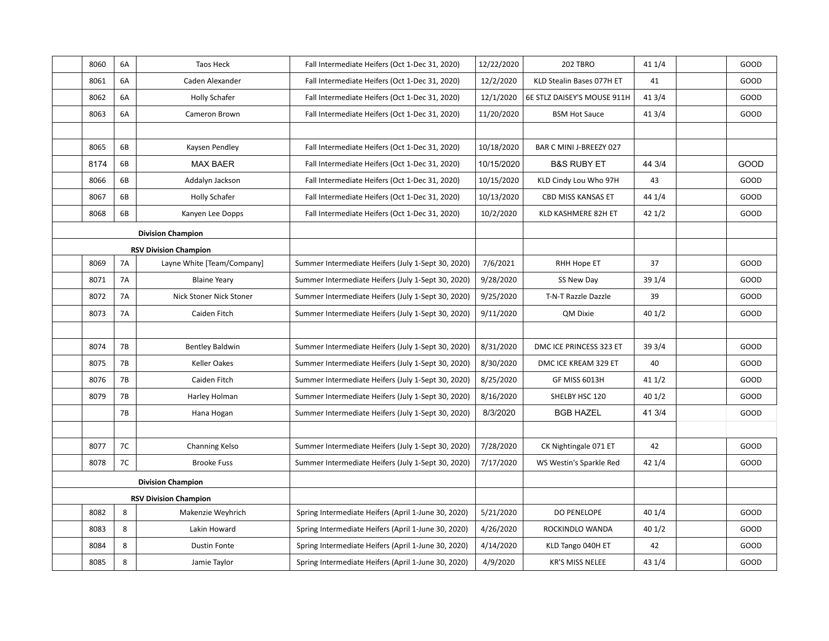|                              | 8060                         | 6A        | Taos Heck                  | Fall Intermediate Heifers (Oct 1-Dec 31, 2020)      | 12/22/2020 | 202 TBRO                    | 41 1/4 | GOOD |
|------------------------------|------------------------------|-----------|----------------------------|-----------------------------------------------------|------------|-----------------------------|--------|------|
|                              | 8061                         | 6A        | Caden Alexander            | Fall Intermediate Heifers (Oct 1-Dec 31, 2020)      | 12/2/2020  | KLD Stealin Bases 077H ET   | 41     | GOOD |
|                              | 8062                         | 6A        | <b>Holly Schafer</b>       | Fall Intermediate Heifers (Oct 1-Dec 31, 2020)      | 12/1/2020  | 6E STLZ DAISEY'S MOUSE 911H | 41 3/4 | GOOD |
|                              | 8063                         | 6A        | Cameron Brown              | Fall Intermediate Heifers (Oct 1-Dec 31, 2020)      | 11/20/2020 | <b>BSM Hot Sauce</b>        | 41 3/4 | GOOD |
|                              |                              |           |                            |                                                     |            |                             |        |      |
|                              | 8065                         | 6B        | Kaysen Pendley             | Fall Intermediate Heifers (Oct 1-Dec 31, 2020)      | 10/18/2020 | BAR C MINI J-BREEZY 027     |        |      |
|                              | 8174                         | 6B        | <b>MAX BAER</b>            | Fall Intermediate Heifers (Oct 1-Dec 31, 2020)      | 10/15/2020 | <b>B&amp;S RUBY ET</b>      | 44 3/4 | GOOD |
|                              | 8066                         | 6B        | Addalyn Jackson            | Fall Intermediate Heifers (Oct 1-Dec 31, 2020)      | 10/15/2020 | KLD Cindy Lou Who 97H       | 43     | GOOD |
|                              | 8067                         | 6B        | <b>Holly Schafer</b>       | Fall Intermediate Heifers (Oct 1-Dec 31, 2020)      | 10/13/2020 | CBD MISS KANSAS ET          | 44 1/4 | GOOD |
|                              | 8068                         | 6B        | Kanyen Lee Dopps           | Fall Intermediate Heifers (Oct 1-Dec 31, 2020)      | 10/2/2020  | KLD KASHMERE 82H ET         | 421/2  | GOOD |
|                              |                              |           | <b>Division Champion</b>   |                                                     |            |                             |        |      |
|                              | <b>RSV Division Champion</b> |           |                            |                                                     |            |                             |        |      |
|                              | 8069                         | <b>7A</b> | Layne White [Team/Company] | Summer Intermediate Heifers (July 1-Sept 30, 2020)  | 7/6/2021   | RHH Hope ET                 | 37     | GOOD |
|                              | 8071                         | <b>7A</b> | <b>Blaine Yeary</b>        | Summer Intermediate Heifers (July 1-Sept 30, 2020)  | 9/28/2020  | SS New Day                  | 39 1/4 | GOOD |
|                              | 8072                         | <b>7A</b> | Nick Stoner Nick Stoner    | Summer Intermediate Heifers (July 1-Sept 30, 2020)  | 9/25/2020  | T-N-T Razzle Dazzle         | 39     | GOOD |
|                              | 8073                         | <b>7A</b> | Caiden Fitch               | Summer Intermediate Heifers (July 1-Sept 30, 2020)  | 9/11/2020  | QM Dixie                    | 401/2  | GOOD |
|                              |                              |           |                            |                                                     |            |                             |        |      |
|                              | 8074                         | <b>7B</b> | <b>Bentley Baldwin</b>     | Summer Intermediate Heifers (July 1-Sept 30, 2020)  | 8/31/2020  | DMC ICE PRINCESS 323 ET     | 39 3/4 | GOOD |
|                              | 8075                         | <b>7B</b> | Keller Oakes               | Summer Intermediate Heifers (July 1-Sept 30, 2020)  | 8/30/2020  | DMC ICE KREAM 329 ET        | 40     | GOOD |
|                              | 8076                         | 7B        | Caiden Fitch               | Summer Intermediate Heifers (July 1-Sept 30, 2020)  | 8/25/2020  | GF MISS 6013H               | 411/2  | GOOD |
|                              | 8079                         | 7B        | Harley Holman              | Summer Intermediate Heifers (July 1-Sept 30, 2020)  | 8/16/2020  | SHELBY HSC 120              | 401/2  | GOOD |
|                              |                              | <b>7B</b> | Hana Hogan                 | Summer Intermediate Heifers (July 1-Sept 30, 2020)  | 8/3/2020   | <b>BGB HAZEL</b>            | 41 3/4 | GOOD |
|                              |                              |           |                            |                                                     |            |                             |        |      |
|                              | 8077                         | 7C        | Channing Kelso             | Summer Intermediate Heifers (July 1-Sept 30, 2020)  | 7/28/2020  | CK Nightingale 071 ET       | 42     | GOOD |
|                              | 8078                         | 7C        | <b>Brooke Fuss</b>         | Summer Intermediate Heifers (July 1-Sept 30, 2020)  | 7/17/2020  | WS Westin's Sparkle Red     | 42 1/4 | GOOD |
|                              |                              |           | <b>Division Champion</b>   |                                                     |            |                             |        |      |
| <b>RSV Division Champion</b> |                              |           |                            |                                                     |            |                             |        |      |
|                              | 8082                         | 8         | Makenzie Weyhrich          | Spring Intermediate Heifers (April 1-June 30, 2020) | 5/21/2020  | <b>DO PENELOPE</b>          | 40 1/4 | GOOD |
|                              | 8083                         | 8         | Lakin Howard               | Spring Intermediate Heifers (April 1-June 30, 2020) | 4/26/2020  | ROCKINDLO WANDA             | 401/2  | GOOD |
|                              | 8084                         | 8         | <b>Dustin Fonte</b>        | Spring Intermediate Heifers (April 1-June 30, 2020) | 4/14/2020  | KLD Tango 040H ET           | 42     | GOOD |
|                              | 8085                         | 8         | Jamie Taylor               | Spring Intermediate Heifers (April 1-June 30, 2020) | 4/9/2020   | <b>KR'S MISS NELEE</b>      | 43 1/4 | GOOD |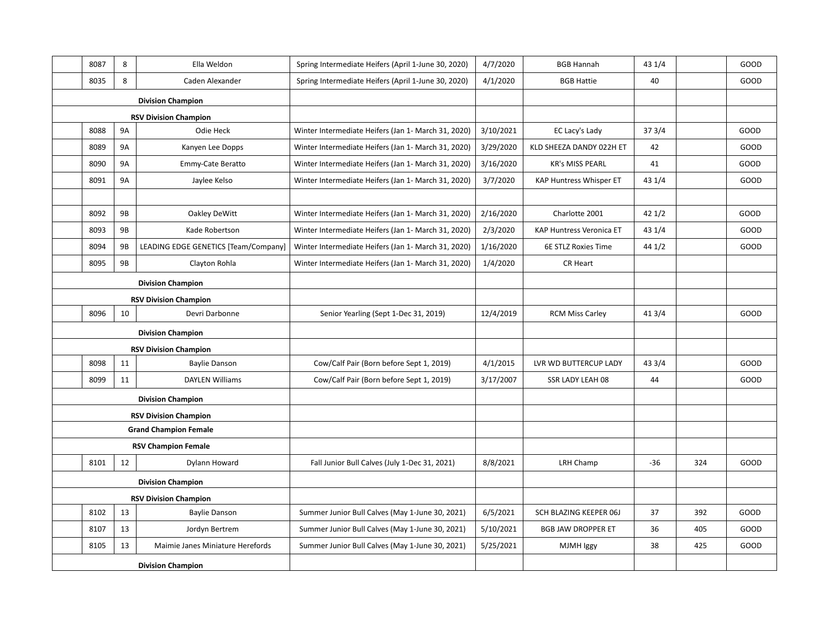| 8087                         | 8                        | Ella Weldon                          | Spring Intermediate Heifers (April 1-June 30, 2020) | 4/7/2020  | <b>BGB Hannah</b>         | 43 1/4 |     | GOOD |
|------------------------------|--------------------------|--------------------------------------|-----------------------------------------------------|-----------|---------------------------|--------|-----|------|
| 8035                         | 8                        | Caden Alexander                      | Spring Intermediate Heifers (April 1-June 30, 2020) | 4/1/2020  | <b>BGB Hattie</b>         | 40     |     | GOOD |
| <b>Division Champion</b>     |                          |                                      |                                                     |           |                           |        |     |      |
|                              |                          | <b>RSV Division Champion</b>         |                                                     |           |                           |        |     |      |
| 8088                         | <b>9A</b>                | Odie Heck                            | Winter Intermediate Heifers (Jan 1- March 31, 2020) | 3/10/2021 | EC Lacy's Lady            | 37 3/4 |     | GOOD |
| 8089                         | <b>9A</b>                | Kanyen Lee Dopps                     | Winter Intermediate Heifers (Jan 1- March 31, 2020) | 3/29/2020 | KLD SHEEZA DANDY 022H ET  | 42     |     | GOOD |
| 8090                         | <b>9A</b>                | Emmy-Cate Beratto                    | Winter Intermediate Heifers (Jan 1- March 31, 2020) | 3/16/2020 | <b>KR's MISS PEARL</b>    | 41     |     | GOOD |
| 8091                         | <b>9A</b>                | Jaylee Kelso                         | Winter Intermediate Heifers (Jan 1- March 31, 2020) | 3/7/2020  | KAP Huntress Whisper ET   | 43 1/4 |     | GOOD |
|                              |                          |                                      |                                                     |           |                           |        |     |      |
| 8092                         | 9B                       | Oakley DeWitt                        | Winter Intermediate Heifers (Jan 1- March 31, 2020) | 2/16/2020 | Charlotte 2001            | 42 1/2 |     | GOOD |
| 8093                         | <b>9B</b>                | Kade Robertson                       | Winter Intermediate Heifers (Jan 1- March 31, 2020) | 2/3/2020  | KAP Huntress Veronica ET  | 43 1/4 |     | GOOD |
| 8094                         | 9B                       | LEADING EDGE GENETICS [Team/Company] | Winter Intermediate Heifers (Jan 1- March 31, 2020) | 1/16/2020 | 6E STLZ Roxies Time       | 44 1/2 |     | GOOD |
| 8095                         | <b>9B</b>                | Clayton Rohla                        | Winter Intermediate Heifers (Jan 1- March 31, 2020) | 1/4/2020  | CR Heart                  |        |     |      |
|                              |                          | <b>Division Champion</b>             |                                                     |           |                           |        |     |      |
|                              |                          | <b>RSV Division Champion</b>         |                                                     |           |                           |        |     |      |
| 8096                         | 10                       | Devri Darbonne                       | Senior Yearling (Sept 1-Dec 31, 2019)               | 12/4/2019 | <b>RCM Miss Carley</b>    | 41 3/4 |     | GOOD |
|                              | <b>Division Champion</b> |                                      |                                                     |           |                           |        |     |      |
|                              |                          | <b>RSV Division Champion</b>         |                                                     |           |                           |        |     |      |
| 8098                         | 11                       | <b>Baylie Danson</b>                 | Cow/Calf Pair (Born before Sept 1, 2019)            | 4/1/2015  | LVR WD BUTTERCUP LADY     | 43 3/4 |     | GOOD |
| 8099                         | 11                       | <b>DAYLEN Williams</b>               | Cow/Calf Pair (Born before Sept 1, 2019)            | 3/17/2007 | SSR LADY LEAH 08          | 44     |     | GOOD |
|                              |                          | <b>Division Champion</b>             |                                                     |           |                           |        |     |      |
|                              |                          | <b>RSV Division Champion</b>         |                                                     |           |                           |        |     |      |
|                              |                          | <b>Grand Champion Female</b>         |                                                     |           |                           |        |     |      |
|                              |                          | <b>RSV Champion Female</b>           |                                                     |           |                           |        |     |      |
| 8101                         | 12                       | Dylann Howard                        | Fall Junior Bull Calves (July 1-Dec 31, 2021)       | 8/8/2021  | LRH Champ                 | -36    | 324 | GOOD |
|                              |                          | <b>Division Champion</b>             |                                                     |           |                           |        |     |      |
| <b>RSV Division Champion</b> |                          |                                      |                                                     |           |                           |        |     |      |
| 8102                         | 13                       | <b>Baylie Danson</b>                 | Summer Junior Bull Calves (May 1-June 30, 2021)     | 6/5/2021  | SCH BLAZING KEEPER 06J    | 37     | 392 | GOOD |
| 8107                         | 13                       | Jordyn Bertrem                       | Summer Junior Bull Calves (May 1-June 30, 2021)     | 5/10/2021 | <b>BGB JAW DROPPER ET</b> | 36     | 405 | GOOD |
| 8105                         | 13                       | Maimie Janes Miniature Herefords     | Summer Junior Bull Calves (May 1-June 30, 2021)     | 5/25/2021 | MJMH Iggy                 | 38     | 425 | GOOD |
| <b>Division Champion</b>     |                          |                                      |                                                     |           |                           |        |     |      |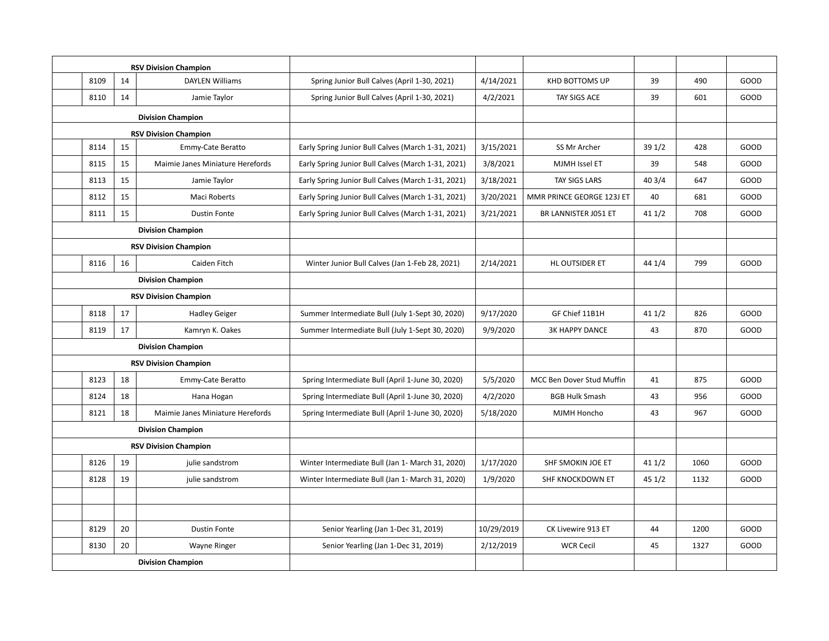| <b>RSV Division Champion</b> |                          |                                  |                                                    |            |                           |        |      |      |
|------------------------------|--------------------------|----------------------------------|----------------------------------------------------|------------|---------------------------|--------|------|------|
| 8109                         | 14                       | <b>DAYLEN Williams</b>           | Spring Junior Bull Calves (April 1-30, 2021)       | 4/14/2021  | <b>KHD BOTTOMS UP</b>     | 39     | 490  | GOOD |
| 8110                         | 14                       | Jamie Taylor                     | Spring Junior Bull Calves (April 1-30, 2021)       | 4/2/2021   | TAY SIGS ACE              | 39     | 601  | GOOD |
|                              |                          | <b>Division Champion</b>         |                                                    |            |                           |        |      |      |
|                              |                          | <b>RSV Division Champion</b>     |                                                    |            |                           |        |      |      |
| 8114                         | 15                       | Emmy-Cate Beratto                | Early Spring Junior Bull Calves (March 1-31, 2021) | 3/15/2021  | SS Mr Archer              | 39 1/2 | 428  | GOOD |
| 8115                         | 15                       | Maimie Janes Miniature Herefords | Early Spring Junior Bull Calves (March 1-31, 2021) | 3/8/2021   | <b>MJMH Issel ET</b>      | 39     | 548  | GOOD |
| 8113                         | 15                       | Jamie Taylor                     | Early Spring Junior Bull Calves (March 1-31, 2021) | 3/18/2021  | TAY SIGS LARS             | 40 3/4 | 647  | GOOD |
| 8112                         | 15                       | <b>Maci Roberts</b>              | Early Spring Junior Bull Calves (March 1-31, 2021) | 3/20/2021  | MMR PRINCE GEORGE 123J ET | 40     | 681  | GOOD |
| 8111                         | 15                       | <b>Dustin Fonte</b>              | Early Spring Junior Bull Calves (March 1-31, 2021) | 3/21/2021  | BR LANNISTER J051 ET      | 41 1/2 | 708  | GOOD |
|                              |                          | <b>Division Champion</b>         |                                                    |            |                           |        |      |      |
|                              |                          | <b>RSV Division Champion</b>     |                                                    |            |                           |        |      |      |
| 8116                         | 16                       | Caiden Fitch                     | Winter Junior Bull Calves (Jan 1-Feb 28, 2021)     | 2/14/2021  | HL OUTSIDER ET            | 44 1/4 | 799  | GOOD |
|                              | <b>Division Champion</b> |                                  |                                                    |            |                           |        |      |      |
|                              |                          | <b>RSV Division Champion</b>     |                                                    |            |                           |        |      |      |
| 8118                         | 17                       | <b>Hadley Geiger</b>             | Summer Intermediate Bull (July 1-Sept 30, 2020)    | 9/17/2020  | GF Chief 11B1H            | 411/2  | 826  | GOOD |
| 8119                         | 17                       | Kamryn K. Oakes                  | Summer Intermediate Bull (July 1-Sept 30, 2020)    | 9/9/2020   | <b>3K HAPPY DANCE</b>     | 43     | 870  | GOOD |
|                              |                          | <b>Division Champion</b>         |                                                    |            |                           |        |      |      |
|                              |                          | <b>RSV Division Champion</b>     |                                                    |            |                           |        |      |      |
| 8123                         | 18                       | Emmy-Cate Beratto                | Spring Intermediate Bull (April 1-June 30, 2020)   | 5/5/2020   | MCC Ben Dover Stud Muffin | 41     | 875  | GOOD |
| 8124                         | 18                       | Hana Hogan                       | Spring Intermediate Bull (April 1-June 30, 2020)   | 4/2/2020   | <b>BGB Hulk Smash</b>     | 43     | 956  | GOOD |
| 8121                         | 18                       | Maimie Janes Miniature Herefords | Spring Intermediate Bull (April 1-June 30, 2020)   | 5/18/2020  | MJMH Honcho               | 43     | 967  | GOOD |
|                              |                          | <b>Division Champion</b>         |                                                    |            |                           |        |      |      |
|                              |                          | <b>RSV Division Champion</b>     |                                                    |            |                           |        |      |      |
| 8126                         | 19                       | julie sandstrom                  | Winter Intermediate Bull (Jan 1- March 31, 2020)   | 1/17/2020  | SHF SMOKIN JOE ET         | 411/2  | 1060 | GOOD |
| 8128                         | 19                       | julie sandstrom                  | Winter Intermediate Bull (Jan 1- March 31, 2020)   | 1/9/2020   | SHF KNOCKDOWN ET          | 451/2  | 1132 | GOOD |
|                              |                          |                                  |                                                    |            |                           |        |      |      |
|                              |                          |                                  |                                                    |            |                           |        |      |      |
| 8129                         | 20                       | <b>Dustin Fonte</b>              | Senior Yearling (Jan 1-Dec 31, 2019)               | 10/29/2019 | CK Livewire 913 ET        | 44     | 1200 | GOOD |
| 8130                         | 20                       | Wayne Ringer                     | Senior Yearling (Jan 1-Dec 31, 2019)               | 2/12/2019  | <b>WCR Cecil</b>          | 45     | 1327 | GOOD |
| <b>Division Champion</b>     |                          |                                  |                                                    |            |                           |        |      |      |